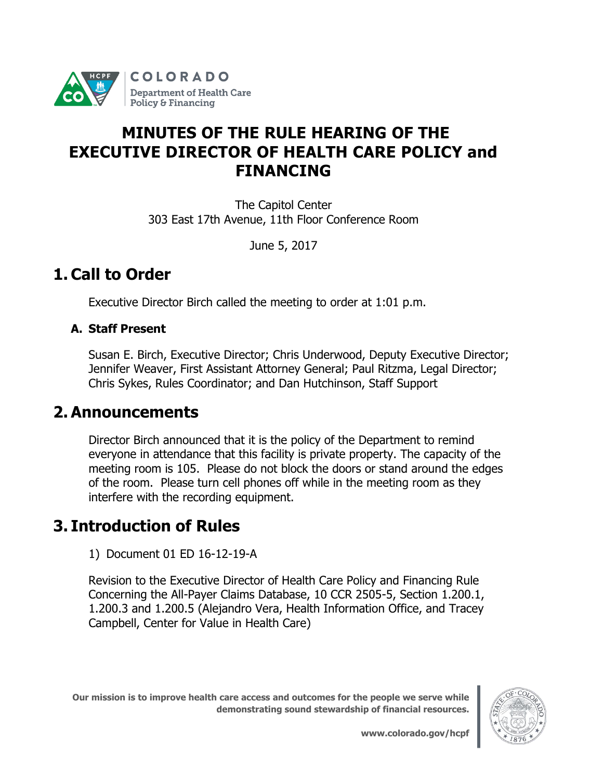

# **MINUTES OF THE RULE HEARING OF THE EXECUTIVE DIRECTOR OF HEALTH CARE POLICY and FINANCING**

The Capitol Center 303 East 17th Avenue, 11th Floor Conference Room

June 5, 2017

# **1. Call to Order**

Executive Director Birch called the meeting to order at 1:01 p.m.

## **A. Staff Present**

Susan E. Birch, Executive Director; Chris Underwood, Deputy Executive Director; Jennifer Weaver, First Assistant Attorney General; Paul Ritzma, Legal Director; Chris Sykes, Rules Coordinator; and Dan Hutchinson, Staff Support

# **2. Announcements**

Director Birch announced that it is the policy of the Department to remind everyone in attendance that this facility is private property. The capacity of the meeting room is 105. Please do not block the doors or stand around the edges of the room. Please turn cell phones off while in the meeting room as they interfere with the recording equipment.

# **3. Introduction of Rules**

1) [Document 01](https://www.colorado.gov/pacific/sites/default/files/Doc%2002%20-%20MSB%2014-07-03-A%20Childrens%20Dental%20OctFin%20s-o.pdf) ED 16-12-19-A

Revision to the Executive Director of Health Care Policy and Financing Rule Concerning the All-Payer Claims Database, 10 CCR 2505-5, Section 1.200.1, 1.200.3 and 1.200.5 (Alejandro Vera, Health Information Office, and Tracey Campbell, Center for Value in Health Care)

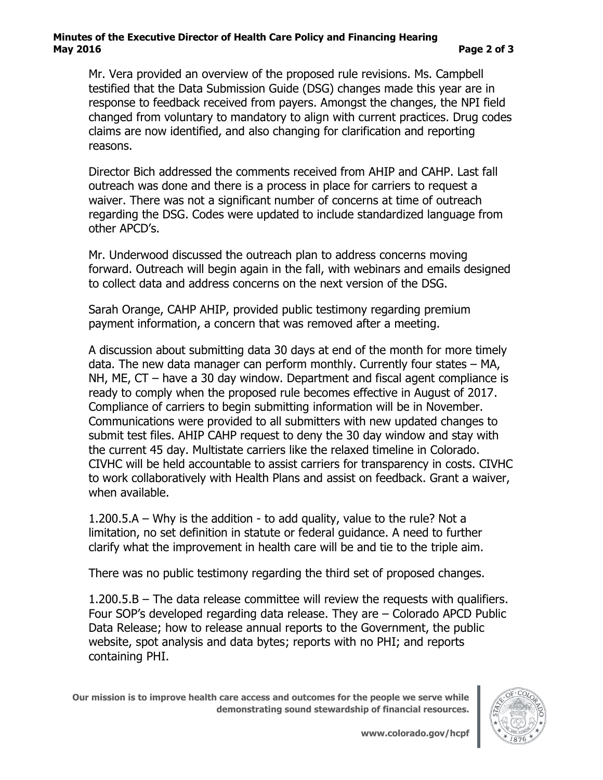### **Minutes of the Executive Director of Health Care Policy and Financing Hearing May 2016 Page 2 of 3**

Mr. Vera provided an overview of the proposed rule revisions. Ms. Campbell testified that the Data Submission Guide (DSG) changes made this year are in response to feedback received from payers. Amongst the changes, the NPI field changed from voluntary to mandatory to align with current practices. Drug codes claims are now identified, and also changing for clarification and reporting reasons.

Director Bich addressed the comments received from AHIP and CAHP. Last fall outreach was done and there is a process in place for carriers to request a waiver. There was not a significant number of concerns at time of outreach regarding the DSG. Codes were updated to include standardized language from other APCD's.

Mr. Underwood discussed the outreach plan to address concerns moving forward. Outreach will begin again in the fall, with webinars and emails designed to collect data and address concerns on the next version of the DSG.

Sarah Orange, CAHP AHIP, provided public testimony regarding premium payment information, a concern that was removed after a meeting.

A discussion about submitting data 30 days at end of the month for more timely data. The new data manager can perform monthly. Currently four states – MA, NH, ME, CT – have a 30 day window. Department and fiscal agent compliance is ready to comply when the proposed rule becomes effective in August of 2017. Compliance of carriers to begin submitting information will be in November. Communications were provided to all submitters with new updated changes to submit test files. AHIP CAHP request to deny the 30 day window and stay with the current 45 day. Multistate carriers like the relaxed timeline in Colorado. CIVHC will be held accountable to assist carriers for transparency in costs. CIVHC to work collaboratively with Health Plans and assist on feedback. Grant a waiver, when available.

1.200.5.A – Why is the addition - to add quality, value to the rule? Not a limitation, no set definition in statute or federal guidance. A need to further clarify what the improvement in health care will be and tie to the triple aim.

There was no public testimony regarding the third set of proposed changes.

1.200.5.B – The data release committee will review the requests with qualifiers. Four SOP's developed regarding data release. They are – Colorado APCD Public Data Release; how to release annual reports to the Government, the public website, spot analysis and data bytes; reports with no PHI; and reports containing PHI.

**Our mission is to improve health care access and outcomes for the people we serve while demonstrating sound stewardship of financial resources.**